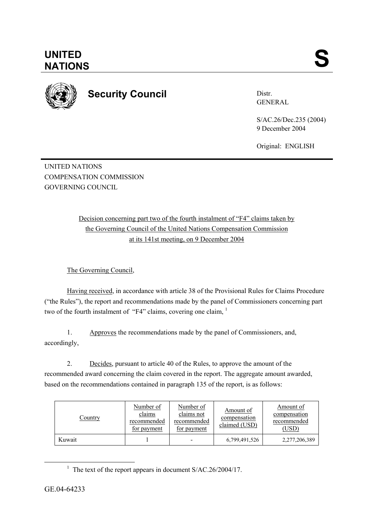

**UNITED** 

## **Security Council**

Distr. GENERAL

S/AC.26/Dec.235 (2004) 9 December 2004

Original: ENGLISH

UNITED NATIONS COMPENSATION COMMISSION GOVERNING COUNCIL

> Decision concerning part two of the fourth instalment of "F4" claims taken by the Governing Council of the United Nations Compensation Commission at its 141st meeting, on 9 December 2004

The Governing Council,

Having received, in accordance with article 38 of the Provisional Rules for Claims Procedure ("the Rules"), the report and recommendations made by the panel of Commissioners concerning part two of the fourth instalment of "F4" claims, covering one claim, <sup>1</sup>

1. Approves the recommendations made by the panel of Commissioners, and, accordingly,

2. Decides, pursuant to article 40 of the Rules, to approve the amount of the recommended award concerning the claim covered in the report. The aggregate amount awarded, based on the recommendations contained in paragraph 135 of the report, is as follows:

| Country | Number of<br>claims<br>recommended<br>for payment | Number of<br>claims not<br>recommended<br>for payment | Amount of<br>compensation<br>claimed (USD) | Amount of<br>compensation<br>recommended<br>(USD) |
|---------|---------------------------------------------------|-------------------------------------------------------|--------------------------------------------|---------------------------------------------------|
| Kuwait  |                                                   |                                                       | 6,799,491,526                              | 2,277,206,389                                     |

 $\frac{1}{1}$ <sup>1</sup> The text of the report appears in document  $S/AC.26/2004/17$ .